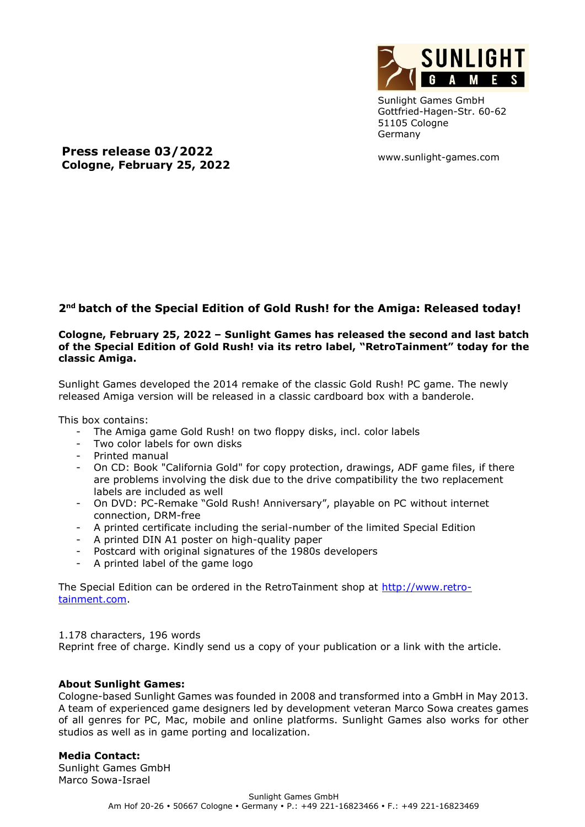

Sunlight Games GmbH Gottfried-Hagen-Str. 60-62 51105 Cologne Germany

www.sunlight-games.com

**Press release 03/2022 Cologne, February 25, 2022**

## **2 nd batch of the Special Edition of Gold Rush! for the Amiga: Released today!**

## **Cologne, February 25, 2022 – Sunlight Games has released the second and last batch of the Special Edition of Gold Rush! via its retro label, "RetroTainment" today for the classic Amiga.**

Sunlight Games developed the 2014 remake of the classic Gold Rush! PC game. The newly released Amiga version will be released in a classic cardboard box with a banderole.

This box contains:

- The Amiga game Gold Rush! on two floppy disks, incl. color labels
- Two color labels for own disks
- Printed manual
- On CD: Book "California Gold" for copy protection, drawings, ADF game files, if there are problems involving the disk due to the drive compatibility the two replacement labels are included as well
- On DVD: PC-Remake "Gold Rush! Anniversary", playable on PC without internet connection, DRM-free
- A printed certificate including the serial-number of the limited Special Edition
- A printed DIN A1 poster on high-quality paper
- Postcard with original signatures of the 1980s developers
- A printed label of the game logo

The Special Edition can be ordered in the RetroTainment shop at [http://www.retro](http://www.retro-tainment.com/)[tainment.com.](http://www.retro-tainment.com/)

1.178 characters, 196 words

Reprint free of charge. Kindly send us a copy of your publication or a link with the article.

## **About Sunlight Games:**

Cologne-based Sunlight Games was founded in 2008 and transformed into a GmbH in May 2013. A team of experienced game designers led by development veteran Marco Sowa creates games of all genres for PC, Mac, mobile and online platforms. Sunlight Games also works for other studios as well as in game porting and localization.

## **Media Contact:**

Sunlight Games GmbH Marco Sowa-Israel